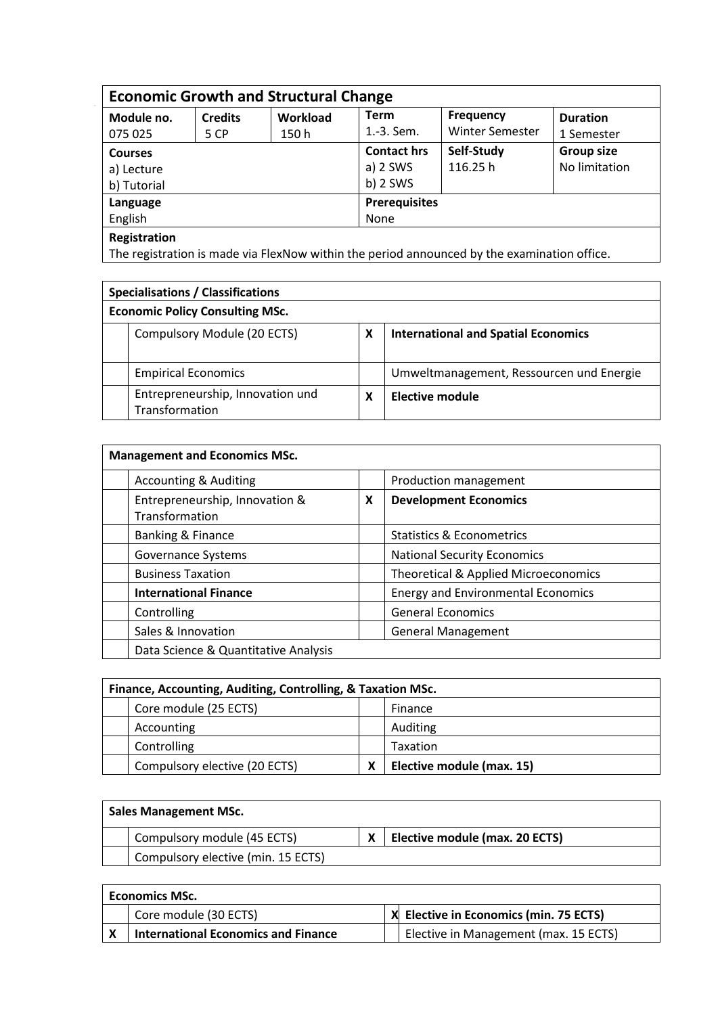| Module no.          | <b>Credits</b> | <b>Economic Growth and Structural Change</b><br><b>Term</b><br><b>Workload</b> |            | <b>Frequency</b>       | <b>Duration</b>   |  |
|---------------------|----------------|--------------------------------------------------------------------------------|------------|------------------------|-------------------|--|
| 075 025             | 5 CP           | 150 h                                                                          | 1.-3. Sem. | <b>Winter Semester</b> | 1 Semester        |  |
| <b>Courses</b>      |                |                                                                                |            | Self-Study             | <b>Group size</b> |  |
| a) Lecture          |                | a) $2$ SWS                                                                     | 116.25h    | No limitation          |                   |  |
| b) Tutorial         |                |                                                                                | $b)$ 2 SWS |                        |                   |  |
| Language<br>English |                | <b>Prerequisites</b>                                                           |            |                        |                   |  |
|                     |                | None                                                                           |            |                        |                   |  |

The registration is made via FlexNow within the period announced by the examination office.

| <b>Specialisations / Classifications</b> |                                                    |   |                                            |  |
|------------------------------------------|----------------------------------------------------|---|--------------------------------------------|--|
| <b>Economic Policy Consulting MSc.</b>   |                                                    |   |                                            |  |
|                                          | Compulsory Module (20 ECTS)                        | X | <b>International and Spatial Economics</b> |  |
|                                          | <b>Empirical Economics</b>                         |   | Umweltmanagement, Ressourcen und Energie   |  |
|                                          | Entrepreneurship, Innovation und<br>Transformation | X | Elective module                            |  |

| <b>Management and Economics MSc.</b>             |   |                                           |  |  |
|--------------------------------------------------|---|-------------------------------------------|--|--|
| <b>Accounting &amp; Auditing</b>                 |   | Production management                     |  |  |
| Entrepreneurship, Innovation &<br>Transformation | X | <b>Development Economics</b>              |  |  |
| <b>Banking &amp; Finance</b>                     |   | <b>Statistics &amp; Econometrics</b>      |  |  |
| <b>Governance Systems</b>                        |   | <b>National Security Economics</b>        |  |  |
| <b>Business Taxation</b>                         |   | Theoretical & Applied Microeconomics      |  |  |
| <b>International Finance</b>                     |   | <b>Energy and Environmental Economics</b> |  |  |
| Controlling                                      |   | <b>General Economics</b>                  |  |  |
| Sales & Innovation                               |   | <b>General Management</b>                 |  |  |
| Data Science & Quantitative Analysis             |   |                                           |  |  |

| Finance, Accounting, Auditing, Controlling, & Taxation MSc. |                               |   |                           |  |
|-------------------------------------------------------------|-------------------------------|---|---------------------------|--|
|                                                             | Core module (25 ECTS)         |   | Finance                   |  |
|                                                             | Accounting                    |   | Auditing                  |  |
|                                                             | Controlling                   |   | Taxation                  |  |
|                                                             | Compulsory elective (20 ECTS) | χ | Elective module (max. 15) |  |

| <b>Sales Management MSc.</b> |                                    |  |                                |  |
|------------------------------|------------------------------------|--|--------------------------------|--|
|                              | Compulsory module (45 ECTS)        |  | Elective module (max. 20 ECTS) |  |
|                              | Compulsory elective (min. 15 ECTS) |  |                                |  |

| <b>Economics MSc.</b> |                                            |  |                                        |  |
|-----------------------|--------------------------------------------|--|----------------------------------------|--|
|                       | Core module (30 ECTS)                      |  | X Elective in Economics (min. 75 ECTS) |  |
|                       | <b>International Economics and Finance</b> |  | Elective in Management (max. 15 ECTS)  |  |